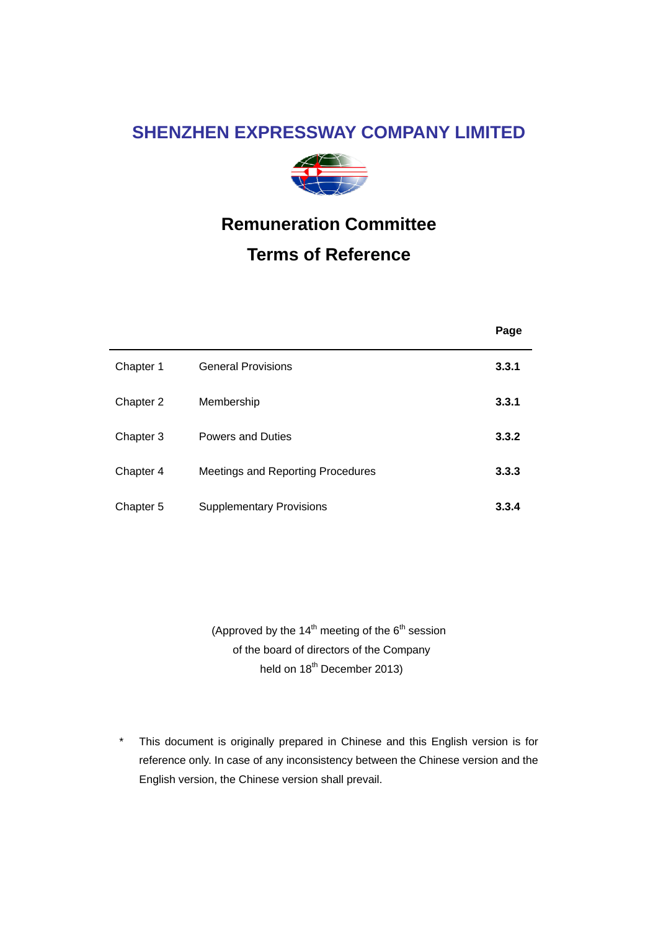### **SHENZHEN EXPRESSWAY COMPANY LIMITED**



# **Remuneration Committee**

## **Terms of Reference**

|           |                                   | Page  |
|-----------|-----------------------------------|-------|
| Chapter 1 | <b>General Provisions</b>         | 3.3.1 |
| Chapter 2 | Membership                        | 3.3.1 |
| Chapter 3 | <b>Powers and Duties</b>          | 3.3.2 |
| Chapter 4 | Meetings and Reporting Procedures | 3.3.3 |
| Chapter 5 | <b>Supplementary Provisions</b>   | 3.3.4 |

(Approved by the  $14^{\text{th}}$  meeting of the  $6^{\text{th}}$  session of the board of directors of the Company held on 18<sup>th</sup> December 2013)

\* This document is originally prepared in Chinese and this English version is for reference only. In case of any inconsistency between the Chinese version and the English version, the Chinese version shall prevail.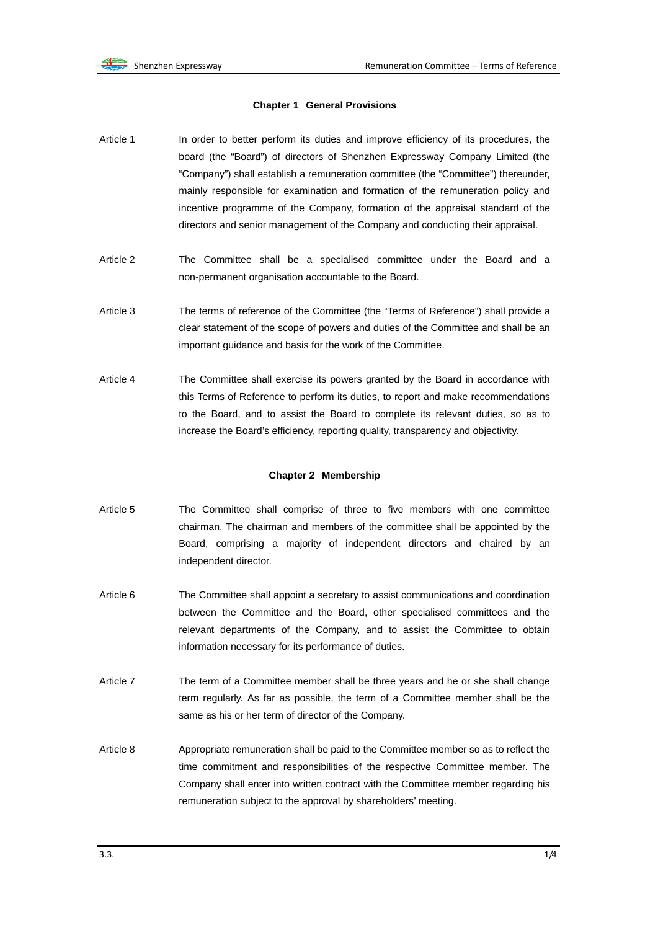#### **Chapter 1 General Provisions**

- Article 1 In order to better perform its duties and improve efficiency of its procedures, the board (the "Board") of directors of Shenzhen Expressway Company Limited (the "Company") shall establish a remuneration committee (the "Committee") thereunder, mainly responsible for examination and formation of the remuneration policy and incentive programme of the Company, formation of the appraisal standard of the directors and senior management of the Company and conducting their appraisal.
- Article 2 The Committee shall be a specialised committee under the Board and a non-permanent organisation accountable to the Board.
- Article 3 The terms of reference of the Committee (the "Terms of Reference") shall provide a clear statement of the scope of powers and duties of the Committee and shall be an important guidance and basis for the work of the Committee.
- Article 4 The Committee shall exercise its powers granted by the Board in accordance with this Terms of Reference to perform its duties, to report and make recommendations to the Board, and to assist the Board to complete its relevant duties, so as to increase the Board's efficiency, reporting quality, transparency and objectivity.

#### **Chapter 2 Membership**

- Article 5 The Committee shall comprise of three to five members with one committee chairman. The chairman and members of the committee shall be appointed by the Board, comprising a majority of independent directors and chaired by an independent director.
- Article 6 The Committee shall appoint a secretary to assist communications and coordination between the Committee and the Board, other specialised committees and the relevant departments of the Company, and to assist the Committee to obtain information necessary for its performance of duties.
- Article 7 The term of a Committee member shall be three years and he or she shall change term regularly. As far as possible, the term of a Committee member shall be the same as his or her term of director of the Company.
- Article 8 Appropriate remuneration shall be paid to the Committee member so as to reflect the time commitment and responsibilities of the respective Committee member. The Company shall enter into written contract with the Committee member regarding his remuneration subject to the approval by shareholders' meeting.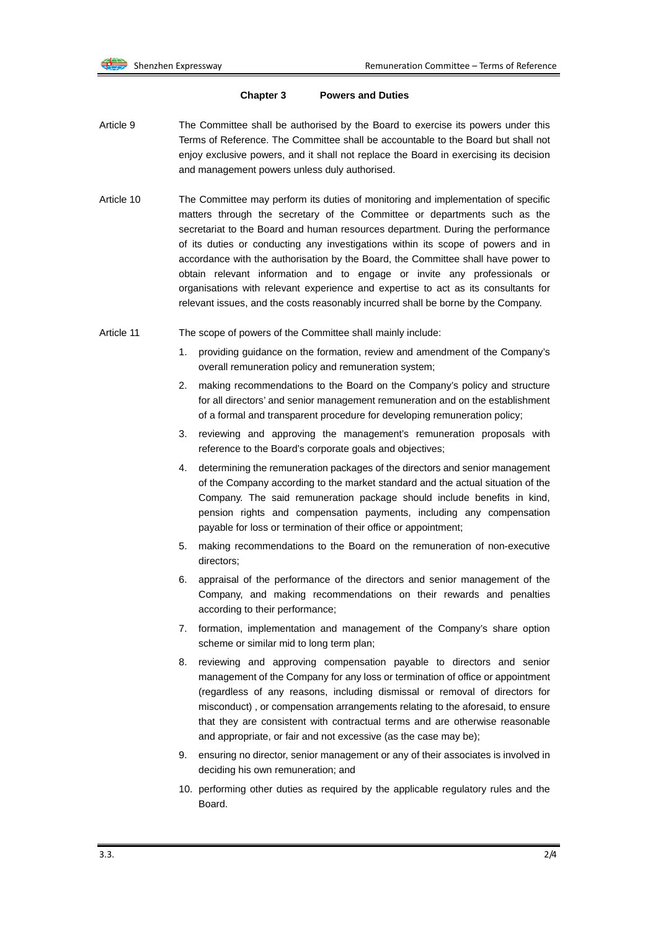#### **Chapter 3 Powers and Duties**

- Article 9 The Committee shall be authorised by the Board to exercise its powers under this Terms of Reference. The Committee shall be accountable to the Board but shall not enjoy exclusive powers, and it shall not replace the Board in exercising its decision and management powers unless duly authorised.
- Article 10 The Committee may perform its duties of monitoring and implementation of specific matters through the secretary of the Committee or departments such as the secretariat to the Board and human resources department. During the performance of its duties or conducting any investigations within its scope of powers and in accordance with the authorisation by the Board, the Committee shall have power to obtain relevant information and to engage or invite any professionals or organisations with relevant experience and expertise to act as its consultants for relevant issues, and the costs reasonably incurred shall be borne by the Company.
- Article 11 The scope of powers of the Committee shall mainly include:
	- 1. providing guidance on the formation, review and amendment of the Company's overall remuneration policy and remuneration system;
	- 2. making recommendations to the Board on the Company's policy and structure for all directors' and senior management remuneration and on the establishment of a formal and transparent procedure for developing remuneration policy;
	- 3. reviewing and approving the management's remuneration proposals with reference to the Board's corporate goals and objectives;
	- 4. determining the remuneration packages of the directors and senior management of the Company according to the market standard and the actual situation of the Company. The said remuneration package should include benefits in kind, pension rights and compensation payments, including any compensation payable for loss or termination of their office or appointment;
	- 5. making recommendations to the Board on the remuneration of non-executive directors;
	- 6. appraisal of the performance of the directors and senior management of the Company, and making recommendations on their rewards and penalties according to their performance;
	- 7. formation, implementation and management of the Company's share option scheme or similar mid to long term plan;
	- 8. reviewing and approving compensation payable to directors and senior management of the Company for any loss or termination of office or appointment (regardless of any reasons, including dismissal or removal of directors for misconduct) , or compensation arrangements relating to the aforesaid, to ensure that they are consistent with contractual terms and are otherwise reasonable and appropriate, or fair and not excessive (as the case may be);
	- 9. ensuring no director, senior management or any of their associates is involved in deciding his own remuneration; and
	- 10. performing other duties as required by the applicable regulatory rules and the **Board**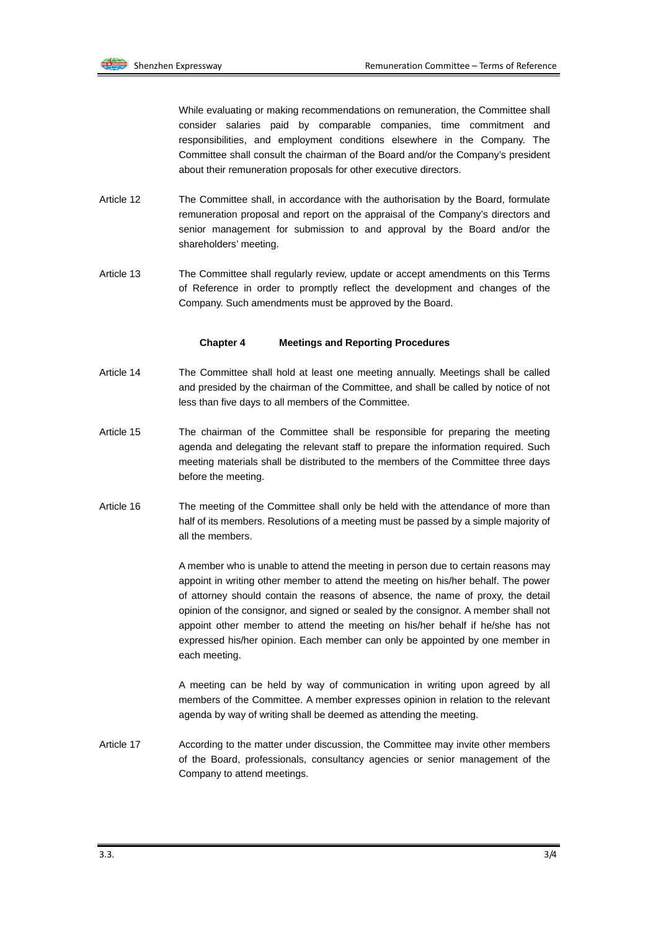While evaluating or making recommendations on remuneration, the Committee shall consider salaries paid by comparable companies, time commitment and responsibilities, and employment conditions elsewhere in the Company. The Committee shall consult the chairman of the Board and/or the Company's president about their remuneration proposals for other executive directors.

- Article 12 The Committee shall, in accordance with the authorisation by the Board, formulate remuneration proposal and report on the appraisal of the Company's directors and senior management for submission to and approval by the Board and/or the shareholders' meeting.
- Article 13 The Committee shall regularly review, update or accept amendments on this Terms of Reference in order to promptly reflect the development and changes of the Company. Such amendments must be approved by the Board.

#### **Chapter 4 Meetings and Reporting Procedures**

- Article 14 The Committee shall hold at least one meeting annually. Meetings shall be called and presided by the chairman of the Committee, and shall be called by notice of not less than five days to all members of the Committee.
- Article 15 The chairman of the Committee shall be responsible for preparing the meeting agenda and delegating the relevant staff to prepare the information required. Such meeting materials shall be distributed to the members of the Committee three days before the meeting.
- Article 16 The meeting of the Committee shall only be held with the attendance of more than half of its members. Resolutions of a meeting must be passed by a simple majority of all the members.

A member who is unable to attend the meeting in person due to certain reasons may appoint in writing other member to attend the meeting on his/her behalf. The power of attorney should contain the reasons of absence, the name of proxy, the detail opinion of the consignor, and signed or sealed by the consignor. A member shall not appoint other member to attend the meeting on his/her behalf if he/she has not expressed his/her opinion. Each member can only be appointed by one member in each meeting.

A meeting can be held by way of communication in writing upon agreed by all members of the Committee. A member expresses opinion in relation to the relevant agenda by way of writing shall be deemed as attending the meeting.

Article 17 **According to the matter under discussion, the Committee may invite other members** of the Board, professionals, consultancy agencies or senior management of the Company to attend meetings.